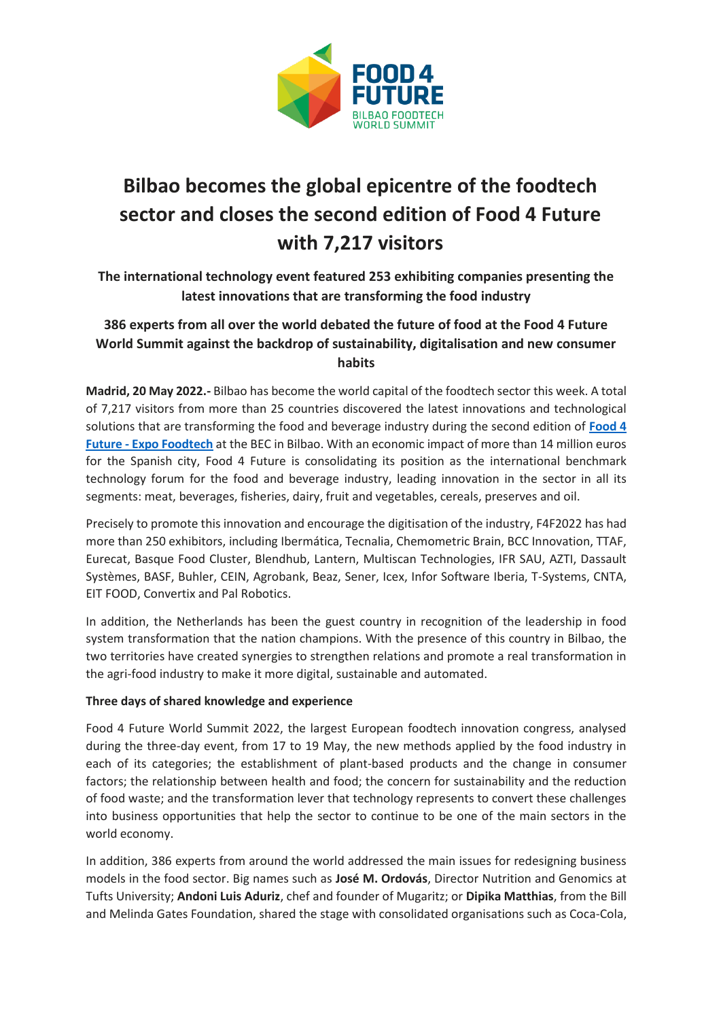

## **Bilbao becomes the global epicentre of the foodtech sector and closes the second edition of Food 4 Future with 7,217 visitors**

**The international technology event featured 253 exhibiting companies presenting the latest innovations that are transforming the food industry**

## **386 experts from all over the world debated the future of food at the Food 4 Future World Summit against the backdrop of sustainability, digitalisation and new consumer habits**

**Madrid, 20 May 2022.-** Bilbao has become the world capital of the foodtech sector this week. A total of 7,217 visitors from more than 25 countries discovered the latest innovations and technological solutions that are transforming the food and beverage industry during the second edition of **[Food 4](https://www.expofoodtech.com/)  Future - [Expo Foodtech](https://www.expofoodtech.com/)** at the BEC in Bilbao. With an economic impact of more than 14 million euros for the Spanish city, Food 4 Future is consolidating its position as the international benchmark technology forum for the food and beverage industry, leading innovation in the sector in all its segments: meat, beverages, fisheries, dairy, fruit and vegetables, cereals, preserves and oil.

Precisely to promote this innovation and encourage the digitisation of the industry, F4F2022 has had more than 250 exhibitors, including Ibermática, Tecnalia, Chemometric Brain, BCC Innovation, TTAF, Eurecat, Basque Food Cluster, Blendhub, Lantern, Multiscan Technologies, IFR SAU, AZTI, Dassault Systèmes, BASF, Buhler, CEIN, Agrobank, Beaz, Sener, Icex, Infor Software Iberia, T-Systems, CNTA, EIT FOOD, Convertix and Pal Robotics.

In addition, the Netherlands has been the guest country in recognition of the leadership in food system transformation that the nation champions. With the presence of this country in Bilbao, the two territories have created synergies to strengthen relations and promote a real transformation in the agri-food industry to make it more digital, sustainable and automated.

## **Three days of shared knowledge and experience**

Food 4 Future World Summit 2022, the largest European foodtech innovation congress, analysed during the three-day event, from 17 to 19 May, the new methods applied by the food industry in each of its categories; the establishment of plant-based products and the change in consumer factors; the relationship between health and food; the concern for sustainability and the reduction of food waste; and the transformation lever that technology represents to convert these challenges into business opportunities that help the sector to continue to be one of the main sectors in the world economy.

In addition, 386 experts from around the world addressed the main issues for redesigning business models in the food sector. Big names such as **José M. Ordovás**, Director Nutrition and Genomics at Tufts University; **Andoni Luis Aduriz**, chef and founder of Mugaritz; or **Dipika Matthias**, from the Bill and Melinda Gates Foundation, shared the stage with consolidated organisations such as Coca-Cola,